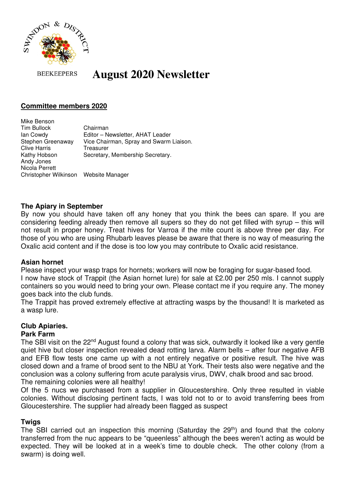

#### **BEEKEEPERS August 2020 Newsletter**

# **Committee members 2020**

Mike Benson Tim Bullock Chairman Ian Cowdy Editor – Newsletter, AHAT Leader Stephen Greenaway Vice Chairman, Spray and Swarm Liaison. Clive Harris Treasurer Kathy Hobson Secretary, Membership Secretary. Andy Jones Nicola Perrett Christopher Wilkinson Website Manager

### **The Apiary in September**

By now you should have taken off any honey that you think the bees can spare. If you are considering feeding already then remove all supers so they do not get filled with syrup – this will not result in proper honey. Treat hives for Varroa if the mite count is above three per day. For those of you who are using Rhubarb leaves please be aware that there is no way of measuring the Oxalic acid content and if the dose is too low you may contribute to Oxalic acid resistance.

### **Asian hornet**

Please inspect your wasp traps for hornets; workers will now be foraging for sugar-based food.

I now have stock of Trappit (the Asian hornet lure) for sale at £2.00 per 250 mls. I cannot supply containers so you would need to bring your own. Please contact me if you require any. The money goes back into the club funds.

The Trappit has proved extremely effective at attracting wasps by the thousand! It is marketed as a wasp lure.

# **Club Apiaries.**

# **Park Farm**

The SBI visit on the 22<sup>nd</sup> August found a colony that was sick, outwardly it looked like a very gentle quiet hive but closer inspection revealed dead rotting larva. Alarm bells – after four negative AFB and EFB flow tests one came up with a not entirely negative or positive result. The hive was closed down and a frame of brood sent to the NBU at York. Their tests also were negative and the conclusion was a colony suffering from acute paralysis virus, DWV, chalk brood and sac brood. The remaining colonies were all healthy!

Of the 5 nucs we purchased from a supplier in Gloucestershire. Only three resulted in viable colonies. Without disclosing pertinent facts, I was told not to or to avoid transferring bees from Gloucestershire. The supplier had already been flagged as suspect

# **Twigs**

The SBI carried out an inspection this morning (Saturday the 29<sup>th</sup>) and found that the colony transferred from the nuc appears to be "queenless" although the bees weren't acting as would be expected. They will be looked at in a week's time to double check. The other colony (from a swarm) is doing well.